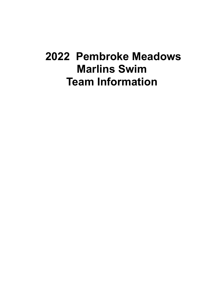### **2022 Pembroke Meadows Marlins Swim Team Information**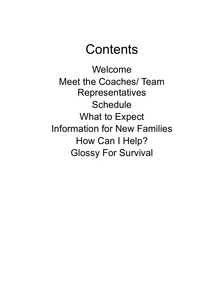### **Contents**

Welcome Meet the Coaches/ Team **Representatives Schedule** What to Expect Information for New Families How Can I Help? Glossy For Survival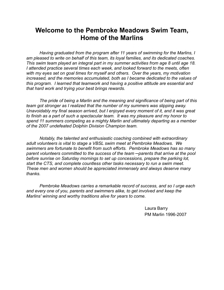#### **Welcome to the Pembroke Meadows Swim Team, Home of the Marlins**

*Having graduated from the program after 11 years of swimming for the Marlins, I am pleased to write on behalf of this team, its loyal families, and its dedicated coaches. This swim team played an integral part in my summer activities from age 8 until age 18. I attended practice several times each week, and looked forward to the meets, often with my eyes set on goal times for myself and others. Over the years, my motivation increased, and the memories accumulated, both as I became dedicated to the values of this program. I learned that teamwork and having a positive attitude are essential and that hard work and trying your best brings rewards.*

*The pride of being a Marlin and the meaning and significance of being part of this team got stronger as I realized that the number of my summers was slipping away. Unavoidably my final season arrived, but I enjoyed every moment of it, and it was great to finish as a part of such a spectacular team. It was my pleasure and my honor to spend 11 summers competing as a mighty Marlin and ultimately departing as a member of the 2007 undefeated Dolphin Division Champion team.*

*Notably, the talented and enthusiastic coaching combined with extraordinary adult volunteers is vital to stage a VBSL swim meet at Pembroke Meadows. We swimmers are fortunate to benefit from such efforts. Pembroke Meadows has so many parent volunteers committed to the success of the team ─parents that arrive at the pool before sunrise on Saturday mornings to set up concessions, prepare the parking lot, start the CTS, and complete countless other tasks necessary to run a swim meet. These men and women should be appreciated immensely and always deserve many thanks.*

*Pembroke Meadows carries a remarkable record of success, and so I urge each and every one of you, parents and swimmers alike, to get involved and keep the Marlins' winning and worthy traditions alive for years to come.*

> Laura Barry PM Marlin 1996-2007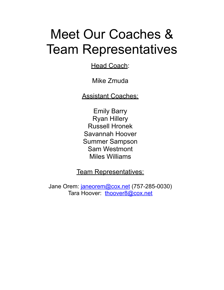## Meet Our Coaches & Team Representatives

**Head Coach:** 

Mike Zmuda

Assistant Coaches:

Emily Barry Ryan Hillery Russell Hronek Savannah Hoover Summer Sampson Sam Westmont Miles Williams

Team Representatives:

Jane Orem: [janeorem@cox.net](mailto:janeorem@cox.net) (757-285-0030) Tara Hoover: [thoover8@cox.net](mailto:thoover8@cox.net)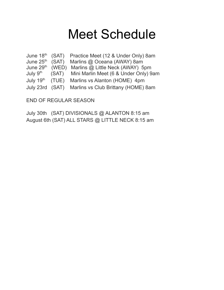## Meet Schedule

|  | June 18 <sup>th</sup> (SAT) Practice Meet (12 & Under Only) 8am  |
|--|------------------------------------------------------------------|
|  | June 25 <sup>th</sup> (SAT) Marlins @ Oceana (AWAY) 8am          |
|  | June 29 <sup>th</sup> (WED) Marlins @ Little Neck (AWAY) 5pm     |
|  | July 9 <sup>th</sup> (SAT) Mini Marlin Meet (6 & Under Only) 9am |
|  | July 19 <sup>th</sup> (TUE) Marlins vs Alanton (HOME) 4pm        |
|  | July 23rd (SAT) Marlins vs Club Brittany (HOME) 8am              |

END OF REGULAR SEASON

July 30th (SAT) DIVISIONALS @ ALANTON 8:15 am August 6th (SAT) ALL STARS @ LITTLE NECK 8:15 am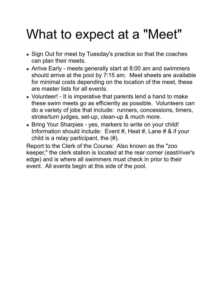# What to expect at a "Meet"

- Sign Out for meet by Tuesday's practice so that the coaches can plan their meets.
- Arrive Early meets generally start at 8:00 am and swimmers should arrive at the pool by 7:15 am. Meet sheets are available for minimal costs depending on the location of the meet, these are master lists for all events.
- Volunteer! It is imperative that parents lend a hand to make these swim meets go as efficiently as possible. Volunteers can do a variety of jobs that include: runners, concessions, timers, stroke/turn judges, set-up, clean-up & much more.
- Bring Your Sharpies yes, markers to write on your child! Information should include: Event #, Heat #, Lane # & if your child is a relay participant, the (#).

Report to the Clerk of the Course: Also known as the "zoo keeper," the clerk station is located at the rear corner (east/river's edge) and is where all swimmers must check in prior to their event. All events begin at this side of the pool.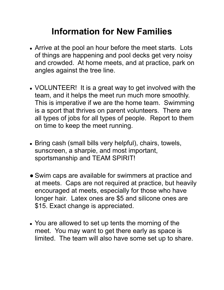### **Information for New Families**

- **●** Arrive at the pool an hour before the meet starts. Lots of things are happening and pool decks get very noisy and crowded. At home meets, and at practice, park on angles against the tree line.
- **●** VOLUNTEER! It is a great way to get involved with the team, and it helps the meet run much more smoothly. This is imperative if we are the home team. Swimming is a sport that thrives on parent volunteers. There are all types of jobs for all types of people. Report to them on time to keep the meet running.
- **●** Bring cash (small bills very helpful), chairs, towels, sunscreen, a sharpie, and most important, sportsmanship and TEAM SPIRIT!
- Swim caps are available for swimmers at practice and at meets. Caps are not required at practice, but heavily encouraged at meets, especially for those who have longer hair. Latex ones are \$5 and silicone ones are \$15. Exact change is appreciated.
- You are allowed to set up tents the morning of the meet. You may want to get there early as space is limited. The team will also have some set up to share.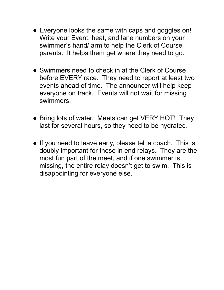- Everyone looks the same with caps and goggles on! Write your Event, heat, and lane numbers on your swimmer's hand/ arm to help the Clerk of Course parents. It helps them get where they need to go.
- Swimmers need to check in at the Clerk of Course before EVERY race. They need to report at least two events ahead of time. The announcer will help keep everyone on track. Events will not wait for missing swimmers.
- Bring lots of water. Meets can get VERY HOT! They last for several hours, so they need to be hydrated.
- If you need to leave early, please tell a coach. This is doubly important for those in end relays. They are the most fun part of the meet, and if one swimmer is missing, the entire relay doesn't get to swim. This is disappointing for everyone else.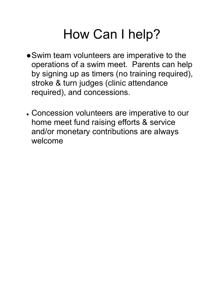# How Can I help?

- ●Swim team volunteers are imperative to the operations of a swim meet. Parents can help by signing up as timers (no training required), stroke & turn judges (clinic attendance required), and concessions.
- Concession volunteers are imperative to our home meet fund raising efforts & service and/or monetary contributions are always welcome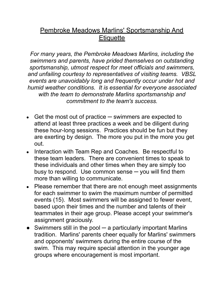### Pembroke Meadows Marlins' Sportsmanship And **Etiquette**

*For many years, the Pembroke Meadows Marlins, including the swimmers and parents, have prided themselves on outstanding sportsmanship, utmost respect for meet officials and swimmers, and unfailing courtesy to representatives of visiting teams. VBSL events are unavoidably long and frequently occur under hot and humid weather conditions. It is essential for everyone associated with the team to demonstrate Marlins sportsmanship and commitment to the team's success.*

- Get the most out of practice  $-$  swimmers are expected to attend at least three practices a week and be diligent during these hour-long sessions. Practices should be fun but they are exerting by design. The more you put in the more you get out.
- Interaction with Team Rep and Coaches. Be respectful to these team leaders. There are convenient times to speak to these individuals and other times when they are simply too busy to respond. Use common sense  $-$  you will find them more than willing to communicate.
- Please remember that there are not enough meet assignments for each swimmer to swim the maximum number of permitted events (15). Most swimmers will be assigned to fewer event, based upon their times and the number and talents of their teammates in their age group. Please accept your swimmer's assignment graciously.
- Swimmers still in the pool a particularly important Marlins tradition. Marlins' parents cheer equally for Marlins' swimmers and opponents' swimmers during the entire course of the swim. This may require special attention in the younger age groups where encouragement is most important.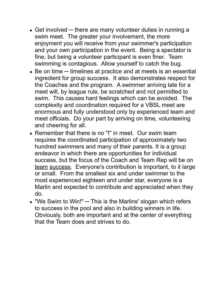- $\bullet$  Get involved  $-$  there are many volunteer duties in running a swim meet. The greater your involvement, the more enjoyment you will receive from your swimmer's participation and your own participation in the event. Being a spectator is fine, but being a volunteer participant is even finer. Team swimming is contagious. Allow yourself to catch the bug.
- Be on time timelines at practice and at meets is an essential ingredient for group success. It also demonstrates respect for the Coaches and the program. A swimmer arriving late for a meet will, by league rule, be scratched and not permitted to swim. This causes hard feelings which can be avoided. The complexity and coordination required for a VBSL meet are enormous and fully understood only by experienced team and meet officials. Do your part by arriving on time, volunteering and cheering for all.
- Remember that there is no "I" in meet. Our swim team requires the coordinated participation of approximately two hundred swimmers and many of their parents. It is a group endeavor in which there are opportunities for individual success, but the focus of the Coach and Team Rep will be on team success. Everyone's contribution is important, to it large or small. From the smallest six and under swimmer to the most experienced eighteen and under star, everyone is a Marlin and expected to contribute and appreciated when they do.
- $\bullet$  "We Swim to Win!"  $-$  This is the Marlins' slogan which refers to success in the pool and also in building winners in life. Obviously, both are important and at the center of everything that the Team does and strives to do.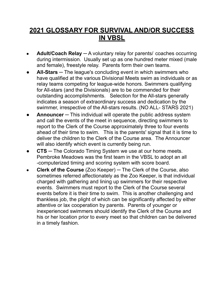### **2021 GLOSSARY FOR SURVIVAL AND/OR SUCCESS IN VBSL**

- **Adult/Coach Relay** ─ A voluntary relay for parents/ coaches occurring during intermission. Usually set up as one hundred meter mixed (male and female), freestyle relay. Parents form their own teams.
- **All-Stars** The league's concluding event in which swimmers who have qualified at the various Divisional Meets swim as individuals or as relay teams competing for league-wide honors. Swimmers qualifying for All-stars (and the Divisionals) are to be commended for their outstanding accomplishments. Selection for the All-stars generally indicates a season of extraordinary success and dedication by the swimmer, irrespective of the All-stars results. (NO ALL- STARS 2021)
- **Announcer** This individual will operate the public address system and call the events of the meet in sequence, directing swimmers to report to the Clerk of the Course approximately three to four events ahead of their time to swim. This is the parents' signal that it is time to deliver the children to the Clerk of the Course area. The Announcer will also identify which event is currently being run.
- **CTS** The Colorado Timing System we use at our home meets. Pembroke Meadows was the first team in the VBSL to adopt an all -computerized timing and scoring system with score board.
- **Clerk of the Course** (Zoo Keeper) ─ The Clerk of the Course, also sometimes referred affectionately as the Zoo Keeper, is that individual charged with gathering and lining up swimmers for their respective events. Swimmers must report to the Clerk of the Course several events before it is their time to swim. This is another challenging and thankless job, the plight of which can be significantly affected by either attentive or lax cooperation by parents. Parents of younger or inexperienced swimmers should identify the Clerk of the Course and his or her location prior to every meet so that children can be delivered in a timely fashion.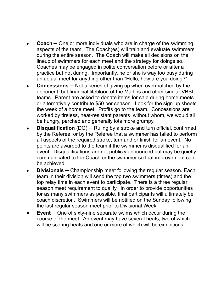- **Coach** One or more individuals who are in charge of the swimming aspects of the team. The Coach(es) will train and evaluate swimmers during the entire season. The Coach will make all decisions on the lineup of swimmers for each meet and the strategy for doings so. Coaches may be engaged in polite conversation before or after a practice but not during. Importantly, he or she is way too busy during an actual meet for anything other than "Hello, how are you doing?"
- **Concessions** Not a series of giving up when overmatched by the opponent, but financial lifeblood of the Marlins and other similar VBSL teams. Parent are asked to donate items for sale during home meets or alternatively contribute \$50 per season. Look for the sign-up sheets the week of a home meet. Profits go to the team. Concessions are worked by tireless, heat-resistant parents without whom, we would all be hungry, parched and generally lots more grumpy.
- **Disqualification** (DQ) Ruling by a stroke and turn official, confirmed by the Referee, or by the Referee that a swimmer has failed to perform all aspects of the required stroke, turn and or finish for an event. No points are awarded to the team if the swimmer is disqualified for an event. Disqualifications are not publicly announced but may be quietly communicated to the Coach or the swimmer so that improvement can be achieved.
- **Divisionals** Championship meet following the regular season. Each team in their division will send the top two swimmers (times) and the top relay time in each event to participate. There is a three regular season meet requirement to qualify. In order to provide opportunities for as many swimmers as possible, final participants will ultimately be coach discretion. Swimmers will be notified on the Sunday following the last regular season meet prior to Divisional Week.
- **Event** One of sixty-nine separate swims which occur during the course of the meet. An event may have several heats, two of which will be scoring heats and one or more of which will be exhibitions.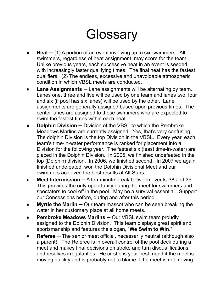## **Glossary**

- $\text{Heat}$   $-$  (1) A portion of an event involving up to six swimmers. All swimmers, regardless of heat assignment, may score for the team. Unlike previous years, each successive heat in an event is seeded with increasingly faster qualifying times. The final heat has the fastest qualifiers. (2) The endless, excessive and unavoidable atmospheric condition in which VBSL meets are conducted.
- **Lane Assignments** Lane assignments will be alternating by team. Lanes one, three and five will be used by one team and lanes two, four and six (if pool has six lanes) will be used by the other. Lane assignments are generally assigned based upon previous times. The center lanes are assigned to those swimmers who are expected to swim the fastest times within each heat.
- **Dolphin Division** Division of the VBSL to which the Pembroke Meadows Marlins are currently assigned. Yes, that's very confusing. The dolphin Division is the top Division in the VBSL. Every year, each team's time-in-water performance is ranked for placement into a Division for the following year. The fastest six (least time-in-water) are placed in the Dolphin Division. In 2005, we finished undefeated in the top (Dolphin) division. In 2006, we finished second. In 2007 we again finished undefeated, won the Dolphin Divisional Meet and our swimmers achieved the best results at All-Stars.
- **Meet Intermission** A ten-minute break between events 38 and 39. This provides the only opportunity during the meet for swimmers and spectators to cool off in the pool. May be a survival essential. Support our Concessions before, during and after this period.
- **Myrtle the Marlin** Our team mascot who can be seen breaking the water in her customary place at all home meets.
- **Pembroke Meadows Marlins** Our VBSL swim team proudly assigned to the Dolphin Division. This team displays great spirit and sportsmanship and features the slogan, "**We Swim to Win**."
- **Referee** The senior meet official, necessarily neutral (although also a parent). The Referee is in overall control of the pool deck during a meet and makes final decisions on stroke and turn disqualifications and resolves irregularities. He or she is your best friend if the meet is moving quickly and is probably not to blame if the meet is not moving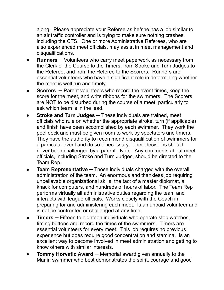along. Please appreciate your Referee as he/she has a job similar to an air traffic controller and is trying to make sure nothing crashes, including the CTS. One or more Administrative Referees, who are also experienced meet officials, may assist in meet management and disqualifications.

- **Runners** Volunteers who carry meet paperwork as necessary from the Clerk of the Course to the Timers, from Stroke and Turn Judges to the Referee, and from the Referee to the Scorers. Runners are essential volunteers who have a significant role in determining whether the meet is well run and timely.
- **Scorers** Parent volunteers who record the event times, keep the score for the meet, and write ribbons for the swimmers. The Scorers are NOT to be disturbed during the course of a meet, particularly to ask which team is in the lead.
- **Stroke and Turn Judges** ─ These individuals are trained, meet officials who rule on whether the appropriate stroke, turn (if applicable) and finish have been accomplished by each swimmer. They work the pool deck and must be given room to work by spectators and timers. They have the authority to recommend disqualification of swimmers for a particular event and do so if necessary. Their decisions should never been challenged by a parent. Note: Any comments about meet officials, including Stroke and Turn Judges, should be directed to the Team Rep.
- **Team Representative** ─ Those individuals charged with the overall administration of the team. An enormous and thankless job requiring unbelievable organizational skills, the tact of a master diplomat, a knack for computers, and hundreds of hours of labor. The Team Rep performs virtually all administrative duties regarding the team and interacts with league officials. Works closely with the Coach in preparing for and administering each meet. Is an unpaid volunteer and is not be confronted or challenged at any time.
- **Timers** Fifteen to eighteen individuals who operate stop watches, timing buttons and record the times of the swimmers. Timers are essential volunteers for every meet. This job requires no previous experience but does require good concentration and stamina. Is an excellent way to become involved in meet administration and getting to know others with similar interests.
- **Tommy Horvatic Award** ─ Memorial award given annually to the Marlin swimmer who best demonstrates the spirit, courage and good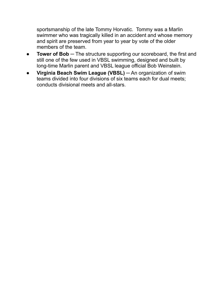sportsmanship of the late Tommy Horvatic. Tommy was a Marlin swimmer who was tragically killed in an accident and whose memory and spirit are preserved from year to year by vote of the older members of the team.

- **Tower of Bob** ─ The structure supporting our scoreboard, the first and still one of the few used in VBSL swimming, designed and built by long-time Marlin parent and VBSL league official Bob Weinstein.
- **Virginia Beach Swim League (VBSL)** ─ An organization of swim teams divided into four divisions of six teams each for dual meets; conducts divisional meets and all-stars.